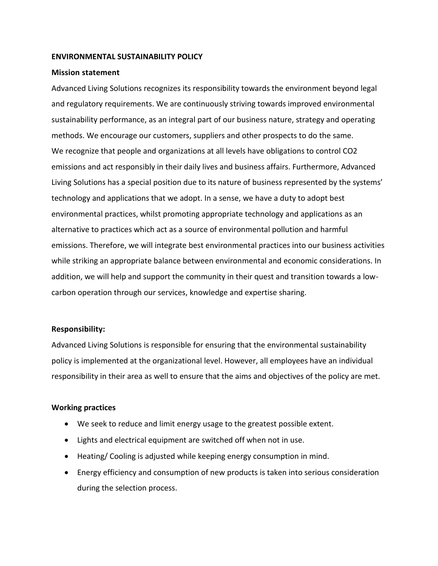### **ENVIRONMENTAL SUSTAINABILITY POLICY**

### **Mission statement**

Advanced Living Solutions recognizes its responsibility towards the environment beyond legal and regulatory requirements. We are continuously striving towards improved environmental sustainability performance, as an integral part of our business nature, strategy and operating methods. We encourage our customers, suppliers and other prospects to do the same. We recognize that people and organizations at all levels have obligations to control CO2 emissions and act responsibly in their daily lives and business affairs. Furthermore, Advanced Living Solutions has a special position due to its nature of business represented by the systems' technology and applications that we adopt. In a sense, we have a duty to adopt best environmental practices, whilst promoting appropriate technology and applications as an alternative to practices which act as a source of environmental pollution and harmful emissions. Therefore, we will integrate best environmental practices into our business activities while striking an appropriate balance between environmental and economic considerations. In addition, we will help and support the community in their quest and transition towards a lowcarbon operation through our services, knowledge and expertise sharing.

## **Responsibility:**

Advanced Living Solutions is responsible for ensuring that the environmental sustainability policy is implemented at the organizational level. However, all employees have an individual responsibility in their area as well to ensure that the aims and objectives of the policy are met.

#### **Working practices**

- We seek to reduce and limit energy usage to the greatest possible extent.
- Lights and electrical equipment are switched off when not in use.
- Heating/ Cooling is adjusted while keeping energy consumption in mind.
- Energy efficiency and consumption of new products is taken into serious consideration during the selection process.